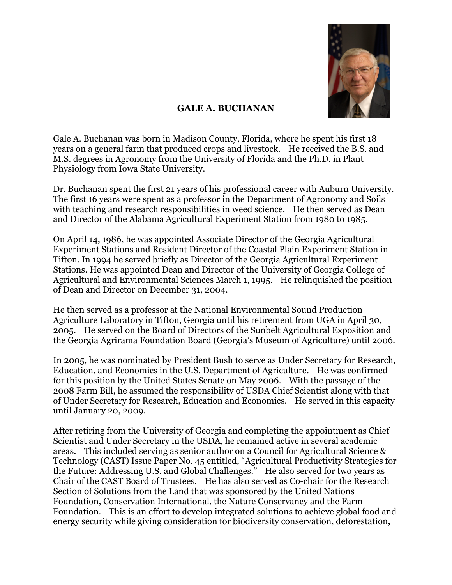

## **GALE A. BUCHANAN**

Gale A. Buchanan was born in Madison County, Florida, where he spent his first 18 years on a general farm that produced crops and livestock. He received the B.S. and M.S. degrees in Agronomy from the University of Florida and the Ph.D. in Plant Physiology from Iowa State University.

Dr. Buchanan spent the first 21 years of his professional career with Auburn University. The first 16 years were spent as a professor in the Department of Agronomy and Soils with teaching and research responsibilities in weed science. He then served as Dean and Director of the Alabama Agricultural Experiment Station from 1980 to 1985.

On April 14, 1986, he was appointed Associate Director of the Georgia Agricultural Experiment Stations and Resident Director of the Coastal Plain Experiment Station in Tifton. In 1994 he served briefly as Director of the Georgia Agricultural Experiment Stations. He was appointed Dean and Director of the University of Georgia College of Agricultural and Environmental Sciences March 1, 1995. He relinquished the position of Dean and Director on December 31, 2004.

He then served as a professor at the National Environmental Sound Production Agriculture Laboratory in Tifton, Georgia until his retirement from UGA in April 30, 2005. He served on the Board of Directors of the Sunbelt Agricultural Exposition and the Georgia Agrirama Foundation Board (Georgia's Museum of Agriculture) until 2006.

In 2005, he was nominated by President Bush to serve as Under Secretary for Research, Education, and Economics in the U.S. Department of Agriculture. He was confirmed for this position by the United States Senate on May 2006. With the passage of the 2008 Farm Bill, he assumed the responsibility of USDA Chief Scientist along with that of Under Secretary for Research, Education and Economics. He served in this capacity until January 20, 2009.

After retiring from the University of Georgia and completing the appointment as Chief Scientist and Under Secretary in the USDA, he remained active in several academic areas. This included serving as senior author on a Council for Agricultural Science & Technology (CAST) Issue Paper No. 45 entitled, "Agricultural Productivity Strategies for the Future: Addressing U.S. and Global Challenges." He also served for two years as Chair of the CAST Board of Trustees. He has also served as Co-chair for the Research Section of Solutions from the Land that was sponsored by the United Nations Foundation, Conservation International, the Nature Conservancy and the Farm Foundation. This is an effort to develop integrated solutions to achieve global food and energy security while giving consideration for biodiversity conservation, deforestation,